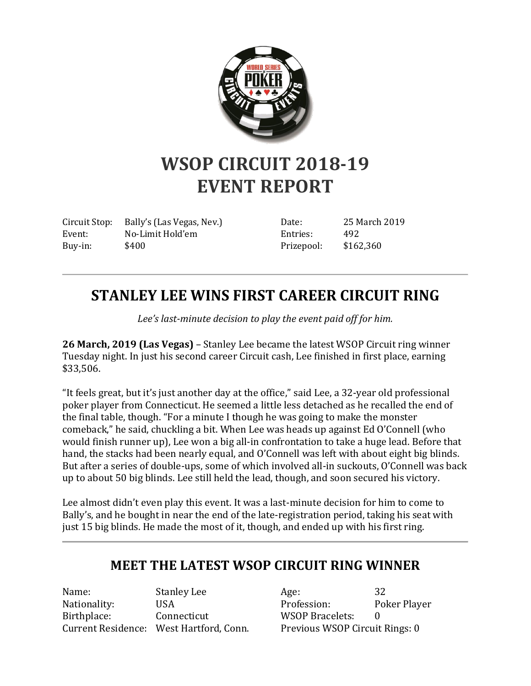

## **WSOP CIRCUIT 2018-19 EVENT REPORT**

Circuit Stop: Bally's (Las Vegas, Nev.) Event: No-Limit Hold'em Buy-in: \$400

Date: 25 March 2019 Entries: 492 Prizepool: \$162,360

## **STANLEY LEE WINS FIRST CAREER CIRCUIT RING**

*Lee's last-minute decision to play the event paid off for him.*

**26 March, 2019 (Las Vegas)** – Stanley Lee became the latest WSOP Circuit ring winner Tuesday night. In just his second career Circuit cash, Lee finished in first place, earning \$33,506.

"It feels great, but it's just another day at the office," said Lee, a 32-year old professional poker player from Connecticut. He seemed a little less detached as he recalled the end of the final table, though. "For a minute I though he was going to make the monster comeback," he said, chuckling a bit. When Lee was heads up against Ed O'Connell (who would finish runner up), Lee won a big all-in confrontation to take a huge lead. Before that hand, the stacks had been nearly equal, and O'Connell was left with about eight big blinds. But after a series of double-ups, some of which involved all-in suckouts, O'Connell was back up to about 50 big blinds. Lee still held the lead, though, and soon secured his victory.

Lee almost didn't even play this event. It was a last-minute decision for him to come to Bally's, and he bought in near the end of the late-registration period, taking his seat with just 15 big blinds. He made the most of it, though, and ended up with his first ring.

## **MEET THE LATEST WSOP CIRCUIT RING WINNER**

Name: Stanley Lee Nationality: USA Birthplace: Connecticut Current Residence: West Hartford, Conn.

Age: 32 Profession: Poker Player WSOP Bracelets: 0 Previous WSOP Circuit Rings: 0